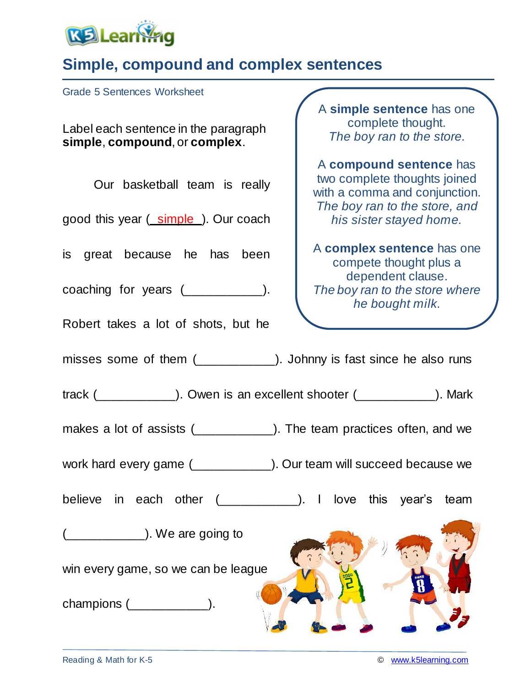

## **Simple, compound and complex sentences**

Grade 5 Sentences Worksheet

Label each sentence in the paragraph **simple**, **compound**, or **complex**.

Our basketball team is really

good this year ( simple ). Our coach

is great because he has been

coaching for years (\_\_\_\_\_\_\_\_\_\_\_\_\_\_).

Robert takes a lot of shots, but he

A **simple sentence** has one complete thought. *The boy ran to the store.*

A **compound sentence** has two complete thoughts joined with a comma and conjunction. *The boy ran to the store, and his sister stayed home.*

A **complex sentence** has one compete thought plus a dependent clause. *The boy ran to the store where he bought milk.*

misses some of them (\_\_\_\_\_\_\_\_\_\_). Johnny is fast since he also runs

track (\_\_\_\_\_\_\_\_\_\_\_). Owen is an excellent shooter (\_\_\_\_\_\_\_\_\_\_\_). Mark

makes a lot of assists (2003). The team practices often, and we

work hard every game (\_\_\_\_\_\_\_\_\_\_\_\_\_). Our team will succeed because we

believe in each other (\_\_\_\_\_\_\_\_\_\_\_\_). I love this year's team

(all  $\sim$  ). We are going to

win every game, so we can be league

champions (\_\_\_\_\_\_\_\_\_\_\_).